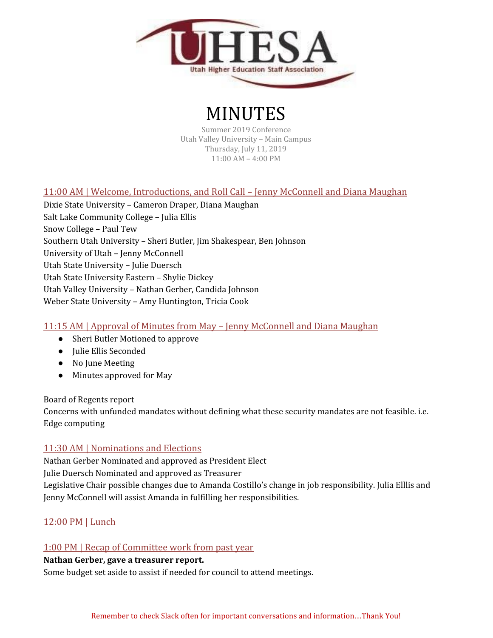

# MINUTES

Summer 2019 Conference Utah Valley University – Main Campus Thursday, July 11, 2019 11:00 AM – 4:00 PM

## 11:00 AM | Welcome, Introductions, and Roll Call – Jenny McConnell and Diana Maughan

Dixie State University – Cameron Draper, Diana Maughan Salt Lake Community College – Julia Ellis Snow College – Paul Tew Southern Utah University – Sheri Butler, Jim Shakespear, Ben Johnson University of Utah – Jenny McConnell Utah State University – Julie Duersch Utah State University Eastern – Shylie Dickey Utah Valley University – Nathan Gerber, Candida Johnson Weber State University – Amy Huntington, Tricia Cook

## 11:15 AM | Approval of Minutes from May – Jenny McConnell and Diana Maughan

- Sheri Butler Motioned to approve
- Julie Ellis Seconded
- No June Meeting
- Minutes approved for May

Board of Regents report

Concerns with unfunded mandates without defining what these security mandates are not feasible. i.e. Edge computing

## 11:30 AM | Nominations and Elections

Nathan Gerber Nominated and approved as President Elect Julie Duersch Nominated and approved as Treasurer Legislative Chair possible changes due to Amanda Costillo's change in job responsibility. Julia Elllis and Jenny McConnell will assist Amanda in fulfilling her responsibilities.

## 12:00 PM | Lunch

#### 1:00 PM | Recap of Committee work from past year

#### **Nathan Gerber, gave a treasurer report.**

Some budget set aside to assist if needed for council to attend meetings.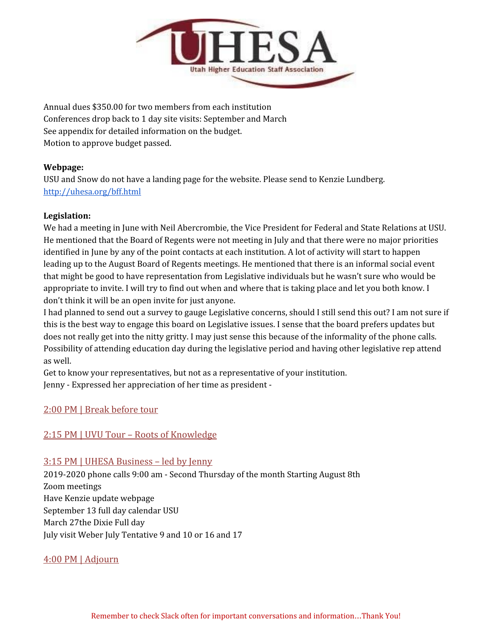

Annual dues \$350.00 for two members from each institution Conferences drop back to 1 day site visits: September and March See appendix for detailed information on the budget. Motion to approve budget passed.

#### **Webpage:**

USU and Snow do not have a landing page for the website. Please send to Kenzie Lundberg. <http://uhesa.org/bff.html>

#### **Legislation:**

We had a meeting in June with Neil Abercrombie, the Vice President for Federal and State Relations at USU. He mentioned that the Board of Regents were not meeting in July and that there were no major priorities identified in June by any of the point contacts at each institution. A lot of activity will start to happen leading up to the August Board of Regents meetings. He mentioned that there is an informal social event that might be good to have representation from Legislative individuals but he wasn't sure who would be appropriate to invite. I will try to find out when and where that is taking place and let you both know. I don't think it will be an open invite for just anyone.

I had planned to send out a survey to gauge Legislative concerns, should I still send this out? I am not sure if this is the best way to engage this board on Legislative issues. I sense that the board prefers updates but does not really get into the nitty gritty. I may just sense this because of the informality of the phone calls. Possibility of attending education day during the legislative period and having other legislative rep attend as well.

Get to know your representatives, but not as a representative of your institution. Jenny - Expressed her appreciation of her time as president -

## 2:00 PM | Break before tour

## 2:15 PM | UVU Tour – Roots of Knowledge

## 3:15 PM | UHESA Business – led by Jenny

2019-2020 phone calls 9:00 am - Second Thursday of the month Starting August 8th Zoom meetings Have Kenzie update webpage September 13 full day calendar USU March 27the Dixie Full day July visit Weber July Tentative 9 and 10 or 16 and 17

## 4:00 PM | Adjourn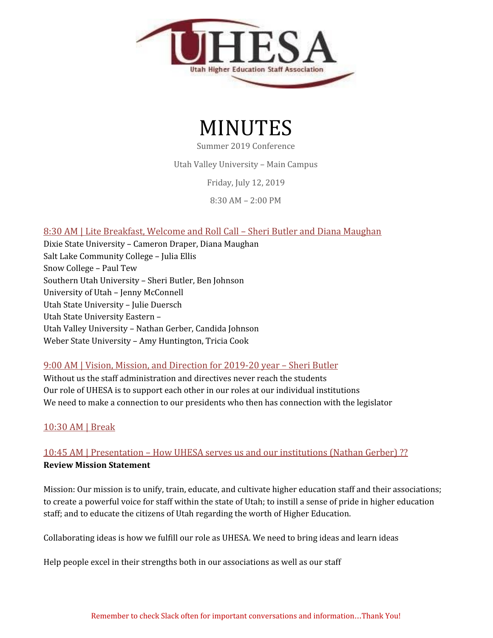



Summer 2019 Conference

Utah Valley University – Main Campus

Friday, July 12, 2019

8:30 AM – 2:00 PM

## 8:30 AM | Lite Breakfast, Welcome and Roll Call – Sheri Butler and Diana Maughan

Dixie State University – Cameron Draper, Diana Maughan Salt Lake Community College – Julia Ellis Snow College – Paul Tew Southern Utah University – Sheri Butler, Ben Johnson University of Utah – Jenny McConnell Utah State University – Julie Duersch Utah State University Eastern – Utah Valley University – Nathan Gerber, Candida Johnson Weber State University – Amy Huntington, Tricia Cook

## 9:00 AM | Vision, Mission, and Direction for 2019-20 year – Sheri Butler

Without us the staff administration and directives never reach the students Our role of UHESA is to support each other in our roles at our individual institutions We need to make a connection to our presidents who then has connection with the legislator

## 10:30 AM | Break

# 10:45 AM | Presentation – How UHESA serves us and our institutions (Nathan Gerber) ?? **Review Mission Statement**

Mission: Our mission is to unify, train, educate, and cultivate higher education staff and their associations; to create a powerful voice for staff within the state of Utah; to instill a sense of pride in higher education staff; and to educate the citizens of Utah regarding the worth of Higher Education.

Collaborating ideas is how we fulfill our role as UHESA. We need to bring ideas and learn ideas

Help people excel in their strengths both in our associations as well as our staff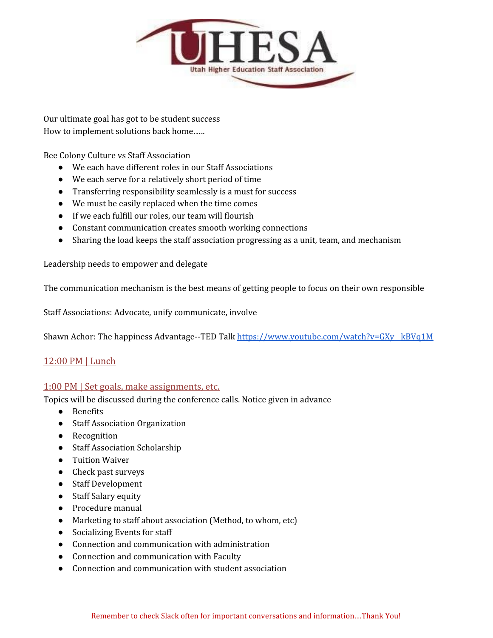

Our ultimate goal has got to be student success How to implement solutions back home…..

Bee Colony Culture vs Staff Association

- We each have different roles in our Staff Associations
- We each serve for a relatively short period of time
- Transferring responsibility seamlessly is a must for success
- We must be easily replaced when the time comes
- If we each fulfill our roles, our team will flourish
- Constant communication creates smooth working connections
- Sharing the load keeps the staff association progressing as a unit, team, and mechanism

Leadership needs to empower and delegate

The communication mechanism is the best means of getting people to focus on their own responsible

Staff Associations: Advocate, unify communicate, involve

Shawn Achor: The happiness Advantage--TED Talk https://www.youtube.com/watch?v=GXy\_kBVq1M

#### 12:00 PM | Lunch

#### 1:00 PM | Set goals, make assignments, etc.

Topics will be discussed during the conference calls. Notice given in advance

- Benefits
- Staff Association Organization
- Recognition
- Staff Association Scholarship
- Tuition Waiver
- Check past surveys
- Staff Development
- Staff Salary equity
- Procedure manual
- Marketing to staff about association (Method, to whom, etc)
- Socializing Events for staff
- Connection and communication with administration
- Connection and communication with Faculty
- Connection and communication with student association